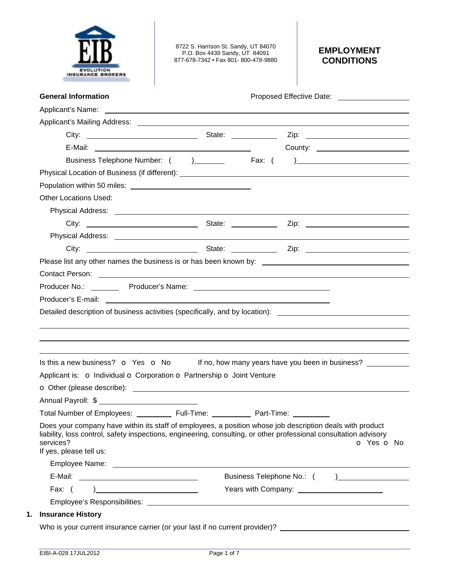

8722 S. Harrison St. Sandy, UT 84070 P.O. Box 4439 Sandy, UT 84091 877-678-7342 • Fax 801- 800-478-9880

# **EMPLOYMENT CONDITIONS**

| <b>General Information</b>                                                                                                                                                                                                                                             |                                                                                  |                                                 | Proposed Effective Date: National Assembly Proposed Effective Date: |                                     |
|------------------------------------------------------------------------------------------------------------------------------------------------------------------------------------------------------------------------------------------------------------------------|----------------------------------------------------------------------------------|-------------------------------------------------|---------------------------------------------------------------------|-------------------------------------|
|                                                                                                                                                                                                                                                                        |                                                                                  |                                                 |                                                                     |                                     |
|                                                                                                                                                                                                                                                                        |                                                                                  |                                                 |                                                                     |                                     |
|                                                                                                                                                                                                                                                                        |                                                                                  |                                                 |                                                                     |                                     |
|                                                                                                                                                                                                                                                                        |                                                                                  |                                                 |                                                                     | County: ___________________________ |
|                                                                                                                                                                                                                                                                        | Business Telephone Number: ( ) _________ Fax: ( ) ______________________________ |                                                 |                                                                     |                                     |
|                                                                                                                                                                                                                                                                        |                                                                                  |                                                 |                                                                     |                                     |
|                                                                                                                                                                                                                                                                        |                                                                                  |                                                 |                                                                     |                                     |
| <b>Other Locations Used:</b>                                                                                                                                                                                                                                           |                                                                                  |                                                 |                                                                     |                                     |
|                                                                                                                                                                                                                                                                        |                                                                                  |                                                 |                                                                     |                                     |
|                                                                                                                                                                                                                                                                        |                                                                                  |                                                 |                                                                     |                                     |
|                                                                                                                                                                                                                                                                        |                                                                                  |                                                 |                                                                     |                                     |
|                                                                                                                                                                                                                                                                        |                                                                                  |                                                 |                                                                     |                                     |
|                                                                                                                                                                                                                                                                        |                                                                                  |                                                 |                                                                     |                                     |
| Contact Person: 2008 Contact Person:                                                                                                                                                                                                                                   |                                                                                  |                                                 |                                                                     |                                     |
|                                                                                                                                                                                                                                                                        |                                                                                  |                                                 |                                                                     |                                     |
|                                                                                                                                                                                                                                                                        |                                                                                  |                                                 |                                                                     |                                     |
| Detailed description of business activities (specifically, and by location): ________________________________                                                                                                                                                          |                                                                                  |                                                 |                                                                     |                                     |
|                                                                                                                                                                                                                                                                        |                                                                                  |                                                 |                                                                     |                                     |
| Is this a new business? $\bullet$ Yes $\bullet$ No If no, how many years have you been in business?                                                                                                                                                                    |                                                                                  |                                                 |                                                                     |                                     |
| Applicant is: o Individual o Corporation o Partnership o Joint Venture                                                                                                                                                                                                 |                                                                                  |                                                 |                                                                     |                                     |
|                                                                                                                                                                                                                                                                        |                                                                                  |                                                 |                                                                     |                                     |
| Annual Payroll: \$                                                                                                                                                                                                                                                     |                                                                                  |                                                 |                                                                     |                                     |
| Total Number of Employees: ____________ Full-Time: __________                                                                                                                                                                                                          |                                                                                  | Part-Time:                                      |                                                                     |                                     |
| Does your company have within its staff of employees, a position whose job description deals with product<br>liability, loss control, safety inspections, engineering, consulting, or other professional consultation advisory<br>services?<br>If yes, please tell us: |                                                                                  |                                                 |                                                                     |                                     |
|                                                                                                                                                                                                                                                                        |                                                                                  |                                                 |                                                                     |                                     |
|                                                                                                                                                                                                                                                                        |                                                                                  |                                                 |                                                                     |                                     |
|                                                                                                                                                                                                                                                                        | Fax: $( )$                                                                       | Years with Company: ___________________________ |                                                                     |                                     |
|                                                                                                                                                                                                                                                                        |                                                                                  |                                                 |                                                                     | O Yes O No                          |
| <b>Insurance History</b>                                                                                                                                                                                                                                               |                                                                                  |                                                 |                                                                     |                                     |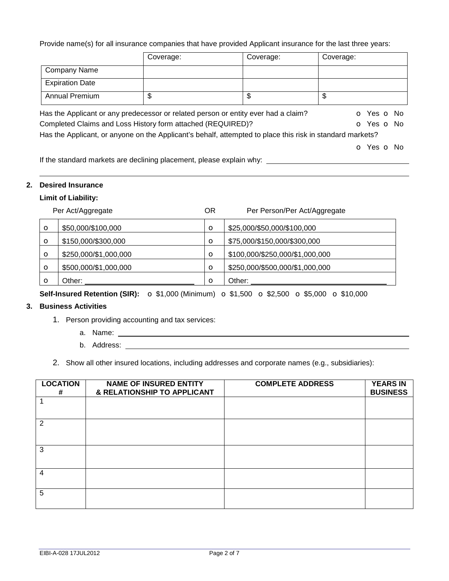Provide name(s) for all insurance companies that have provided Applicant insurance for the last three years:

|                                                                                                           | Coverage: | Coverage: | Coverage:  |
|-----------------------------------------------------------------------------------------------------------|-----------|-----------|------------|
| Company Name                                                                                              |           |           |            |
| <b>Expiration Date</b>                                                                                    |           |           |            |
| <b>Annual Premium</b>                                                                                     | \$        | \$        | \$         |
| Has the Applicant or any predecessor or related person or entity ever had a claim?                        |           |           | O Yes O No |
| Completed Claims and Loss History form attached (REQUIRED)?                                               |           |           | O Yes O No |
| Has the Applicant, or anyone on the Applicant's behalf, attempted to place this risk in standard markets? |           |           |            |
|                                                                                                           |           |           | O Yes O No |

If the standard markets are declining placement, please explain why:

### **2. Desired Insurance**

## **Limit of Liability:**

| Per Act/Aggregate |                       | <b>OR</b> | Per Person/Per Act/Aggregate    |
|-------------------|-----------------------|-----------|---------------------------------|
| $\circ$           | \$50,000/\$100,000    | $\circ$   | \$25,000/\$50,000/\$100,000     |
| $\circ$           | \$150,000/\$300,000   | $\circ$   | \$75,000/\$150,000/\$300,000    |
| $\circ$           | \$250,000/\$1,000,000 | $\circ$   | \$100,000/\$250,000/\$1,000,000 |
| $\circ$           | \$500,000/\$1,000,000 | $\circ$   | \$250,000/\$500,000/\$1,000,000 |
| $\circ$           | Other:                | Ω         | Other:                          |

**Self-Insured Retention (SIR):** o \$1,000 (Minimum) o \$1,500 o \$2,500 o \$5,000 o \$10,000

### **3. Business Activities**

- 1. Person providing accounting and tax services:
	- a. Name:
	- b. Address:
- 2. Show all other insured locations, including addresses and corporate names (e.g., subsidiaries):

| <b>LOCATION</b><br># | <b>NAME OF INSURED ENTITY</b><br>& RELATIONSHIP TO APPLICANT | <b>COMPLETE ADDRESS</b> | <b>YEARS IN</b><br><b>BUSINESS</b> |
|----------------------|--------------------------------------------------------------|-------------------------|------------------------------------|
|                      |                                                              |                         |                                    |
| 2                    |                                                              |                         |                                    |
| 3                    |                                                              |                         |                                    |
| 4                    |                                                              |                         |                                    |
| 5                    |                                                              |                         |                                    |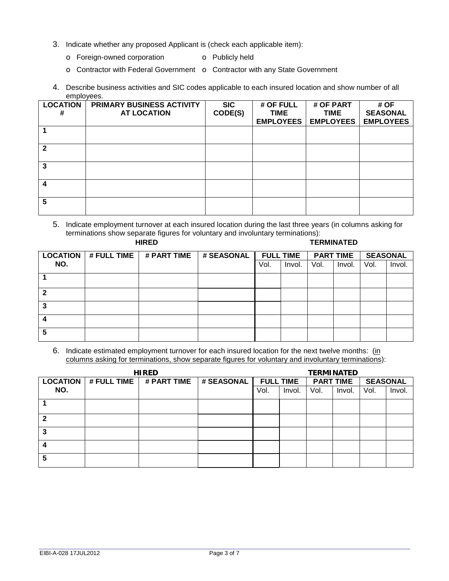- 3. Indicate whether any proposed Applicant is (check each applicable item):
	- o Foreign-owned corporation **o** Publicly held
	- o Contractor with Federal Government o Contractor with any State Government
- 4. Describe business activities and SIC codes applicable to each insured location and show number of all employees.

| <b>LOCATION</b><br># | PRIMARY BUSINESS ACTIVITY<br><b>AT LOCATION</b> | <b>SIC</b><br>CODE(S) | # OF FULL<br><b>TIME</b> | # OF PART<br><b>TIME</b> | # OF<br><b>SEASONAL</b> |
|----------------------|-------------------------------------------------|-----------------------|--------------------------|--------------------------|-------------------------|
|                      |                                                 |                       | <b>EMPLOYEES</b>         | <b>EMPLOYEES</b>         | <b>EMPLOYEES</b>        |
|                      |                                                 |                       |                          |                          |                         |
| 2                    |                                                 |                       |                          |                          |                         |
| 3                    |                                                 |                       |                          |                          |                         |
| Δ                    |                                                 |                       |                          |                          |                         |
| 5                    |                                                 |                       |                          |                          |                         |

5. Indicate employment turnover at each insured location during the last three years (in columns asking for terminations show separate figures for voluntary and involuntary terminations):

| <b>HIRED</b>    |             |             |            |      |                  |      | <b>TERMINATED</b> |                 |        |
|-----------------|-------------|-------------|------------|------|------------------|------|-------------------|-----------------|--------|
| <b>LOCATION</b> | # FULL TIME | # PART TIME | # SEASONAL |      | <b>FULL TIME</b> |      | <b>PART TIME</b>  | <b>SEASONAL</b> |        |
| NO.             |             |             |            | Vol. | Invol.           | Vol. | Invol.            | Vol.            | Invol. |
|                 |             |             |            |      |                  |      |                   |                 |        |
| 2               |             |             |            |      |                  |      |                   |                 |        |
| 3               |             |             |            |      |                  |      |                   |                 |        |
|                 |             |             |            |      |                  |      |                   |                 |        |
| 5               |             |             |            |      |                  |      |                   |                 |        |

6. Indicate estimated employment turnover for each insured location for the next twelve months: (in columns asking for terminations, show separate figures for voluntary and involuntary terminations):

| <b>HIRED</b>    |             |             |            | <b>TERMINATED</b> |        |      |                  |                 |        |
|-----------------|-------------|-------------|------------|-------------------|--------|------|------------------|-----------------|--------|
| <b>LOCATION</b> | # FULL TIME | # PART TIME | # SEASONAL | <b>FULL TIME</b>  |        |      | <b>PART TIME</b> | <b>SEASONAL</b> |        |
| NO.             |             |             |            | Vol.              | Invol. | Vol. | Invol.           | Vol.            | Invol. |
|                 |             |             |            |                   |        |      |                  |                 |        |
| $\mathbf{2}$    |             |             |            |                   |        |      |                  |                 |        |
| 3               |             |             |            |                   |        |      |                  |                 |        |
| 4               |             |             |            |                   |        |      |                  |                 |        |
| 5               |             |             |            |                   |        |      |                  |                 |        |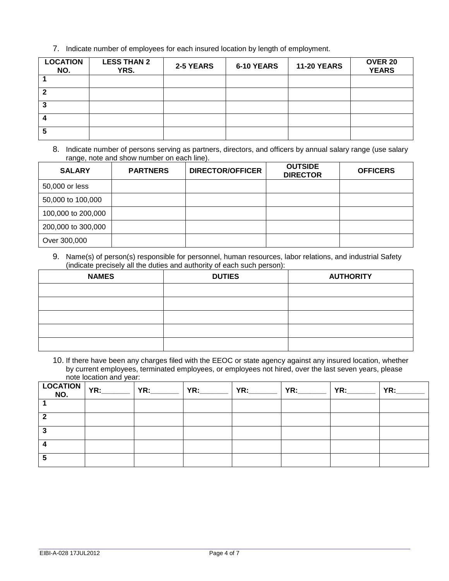7. Indicate number of employees for each insured location by length of employment.

| <b>LOCATION</b><br>NO. | <b>LESS THAN 2</b><br><b>YRS.</b> | 2-5 YEARS | 6-10 YEARS | <b>11-20 YEARS</b> | <b>OVER 20</b><br><b>YEARS</b> |
|------------------------|-----------------------------------|-----------|------------|--------------------|--------------------------------|
|                        |                                   |           |            |                    |                                |
|                        |                                   |           |            |                    |                                |
|                        |                                   |           |            |                    |                                |
|                        |                                   |           |            |                    |                                |
|                        |                                   |           |            |                    |                                |

8. Indicate number of persons serving as partners, directors, and officers by annual salary range (use salary range, note and show number on each line).

| <b>SALARY</b>      | <b>PARTNERS</b> | <b>DIRECTOR/OFFICER</b> | <b>OUTSIDE</b><br><b>DIRECTOR</b> | <b>OFFICERS</b> |
|--------------------|-----------------|-------------------------|-----------------------------------|-----------------|
| 50,000 or less     |                 |                         |                                   |                 |
| 50,000 to 100,000  |                 |                         |                                   |                 |
| 100,000 to 200,000 |                 |                         |                                   |                 |
| 200,000 to 300,000 |                 |                         |                                   |                 |
| Over 300,000       |                 |                         |                                   |                 |

9. Name(s) of person(s) responsible for personnel, human resources, labor relations, and industrial Safety (indicate precisely all the duties and authority of each such person):

| <b>NAMES</b> | <b>DUTIES</b> | <b>AUTHORITY</b> |
|--------------|---------------|------------------|
|              |               |                  |
|              |               |                  |
|              |               |                  |
|              |               |                  |
|              |               |                  |

10. If there have been any charges filed with the EEOC or state agency against any insured location, whether by current employees, terminated employees, or employees not hired, over the last seven years, please note location and year:

|  | <b>YR:</b> | YR: The contract of the contract of the contract of the contract of the contract of the contract of the contract of the contract of the contract of the contract of the contract of the contract of the contract of the contra | YR:________   YR:________ | YR: |  |
|--|------------|--------------------------------------------------------------------------------------------------------------------------------------------------------------------------------------------------------------------------------|---------------------------|-----|--|
|  |            |                                                                                                                                                                                                                                |                           |     |  |
|  |            |                                                                                                                                                                                                                                |                           |     |  |
|  |            |                                                                                                                                                                                                                                |                           |     |  |
|  |            |                                                                                                                                                                                                                                |                           |     |  |
|  |            |                                                                                                                                                                                                                                |                           |     |  |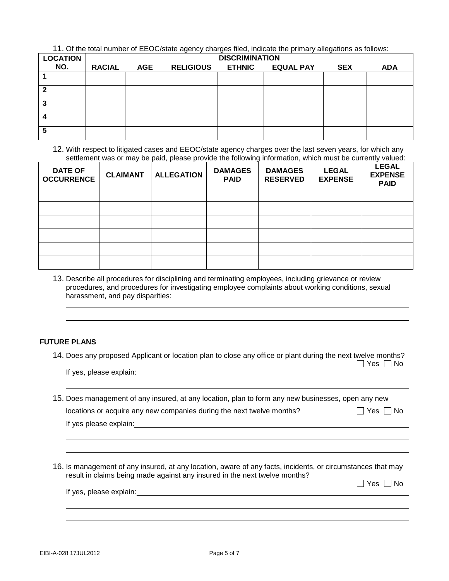11. Of the total number of EEOC/state agency charges filed, indicate the primary allegations as follows:

| <b>LOCATION</b> |               | <b>DISCRIMINATION</b> |                  |               |                  |            |            |  |
|-----------------|---------------|-----------------------|------------------|---------------|------------------|------------|------------|--|
| NO.             | <b>RACIAL</b> | <b>AGE</b>            | <b>RELIGIOUS</b> | <b>ETHNIC</b> | <b>EQUAL PAY</b> | <b>SEX</b> | <b>ADA</b> |  |
|                 |               |                       |                  |               |                  |            |            |  |
| 2               |               |                       |                  |               |                  |            |            |  |
| 3               |               |                       |                  |               |                  |            |            |  |
|                 |               |                       |                  |               |                  |            |            |  |
| 5               |               |                       |                  |               |                  |            |            |  |

#### 12. With respect to litigated cases and EEOC/state agency charges over the last seven years, for which any settlement was or may be paid, please provide the following information, which must be currently valued:

| <b>DATE OF</b><br><b>OCCURRENCE</b> | <b>CLAIMANT</b> | <b>ALLEGATION</b> | <b>DAMAGES</b><br><b>PAID</b> | <b>DAMAGES</b><br><b>RESERVED</b> | <b>LEGAL</b><br><b>EXPENSE</b> | <b>LEGAL</b><br><b>EXPENSE</b><br><b>PAID</b> |
|-------------------------------------|-----------------|-------------------|-------------------------------|-----------------------------------|--------------------------------|-----------------------------------------------|
|                                     |                 |                   |                               |                                   |                                |                                               |
|                                     |                 |                   |                               |                                   |                                |                                               |
|                                     |                 |                   |                               |                                   |                                |                                               |
|                                     |                 |                   |                               |                                   |                                |                                               |
|                                     |                 |                   |                               |                                   |                                |                                               |
|                                     |                 |                   |                               |                                   |                                |                                               |

13. Describe all procedures for disciplining and terminating employees, including grievance or review procedures, and procedures for investigating employee complaints about working conditions, sexual harassment, and pay disparities:

## **FUTURE PLANS**

 

14. Does any proposed Applicant or location plan to close any office or plant during the next twelve months?  $\Box$  Yes  $\Box$  No

If yes, please explain:

15. Does management of any insured, at any location, plan to form any new businesses, open any new locations or acquire any new companies during the next twelve months?  $\Box$  Yes  $\Box$  No

If yes please explain:

16. Is management of any insured, at any location, aware of any facts, incidents, or circumstances that may result in claims being made against any insured in the next twelve months?

 $\Box$  Yes  $\Box$  No

If yes, please explain: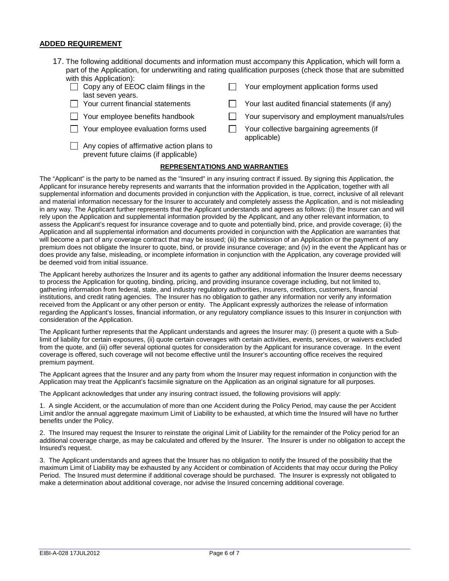#### **ADDED REQUIREMENT**

- 17. The following additional documents and information must accompany this Application, which will form a part of the Application, for underwriting and rating qualification purposes (check those that are submitted with this Application):
	- Copy any of EEOC claim filings in the last seven years.
	-
	-
	-
	- $\Box$  Any copies of affirmative action plans to prevent future claims (if applicable)
- Your employment application forms used
- $\Box$  Your current financial statements  $\Box$  Your last audited financial statements (if any)
- $\Box$  Your employee benefits handbook  $\Box$  Your supervisory and employment manuals/rules
- $\Box$  Your employee evaluation forms used  $\Box$  Your collective bargaining agreements (if applicable)

#### **REPRESENTATIONS AND WARRANTIES**

The "Applicant" is the party to be named as the "Insured" in any insuring contract if issued. By signing this Application, the Applicant for insurance hereby represents and warrants that the information provided in the Application, together with all supplemental information and documents provided in conjunction with the Application, is true, correct, inclusive of all relevant and material information necessary for the Insurer to accurately and completely assess the Application, and is not misleading in any way. The Applicant further represents that the Applicant understands and agrees as follows: (i) the Insurer can and will rely upon the Application and supplemental information provided by the Applicant, and any other relevant information, to assess the Applicant's request for insurance coverage and to quote and potentially bind, price, and provide coverage; (ii) the Application and all supplemental information and documents provided in conjunction with the Application are warranties that will become a part of any coverage contract that may be issued; (iii) the submission of an Application or the payment of any premium does not obligate the Insurer to quote, bind, or provide insurance coverage; and (iv) in the event the Applicant has or does provide any false, misleading, or incomplete information in conjunction with the Application, any coverage provided will be deemed void from initial issuance.

The Applicant hereby authorizes the Insurer and its agents to gather any additional information the Insurer deems necessary to process the Application for quoting, binding, pricing, and providing insurance coverage including, but not limited to, gathering information from federal, state, and industry regulatory authorities, insurers, creditors, customers, financial institutions, and credit rating agencies. The Insurer has no obligation to gather any information nor verify any information received from the Applicant or any other person or entity. The Applicant expressly authorizes the release of information regarding the Applicant's losses, financial information, or any regulatory compliance issues to this Insurer in conjunction with consideration of the Application.

The Applicant further represents that the Applicant understands and agrees the Insurer may: (i) present a quote with a Sublimit of liability for certain exposures, (ii) quote certain coverages with certain activities, events, services, or waivers excluded from the quote, and (iii) offer several optional quotes for consideration by the Applicant for insurance coverage. In the event coverage is offered, such coverage will not become effective until the Insurer's accounting office receives the required premium payment.

The Applicant agrees that the Insurer and any party from whom the Insurer may request information in conjunction with the Application may treat the Applicant's facsimile signature on the Application as an original signature for all purposes.

The Applicant acknowledges that under any insuring contract issued, the following provisions will apply:

1. A single Accident, or the accumulation of more than one Accident during the Policy Period, may cause the per Accident Limit and/or the annual aggregate maximum Limit of Liability to be exhausted, at which time the Insured will have no further benefits under the Policy.

2. The Insured may request the Insurer to reinstate the original Limit of Liability for the remainder of the Policy period for an additional coverage charge, as may be calculated and offered by the Insurer. The Insurer is under no obligation to accept the Insured's request.

3. The Applicant understands and agrees that the Insurer has no obligation to notify the Insured of the possibility that the maximum Limit of Liability may be exhausted by any Accident or combination of Accidents that may occur during the Policy Period. The Insured must determine if additional coverage should be purchased. The Insurer is expressly not obligated to make a determination about additional coverage, nor advise the Insured concerning additional coverage.